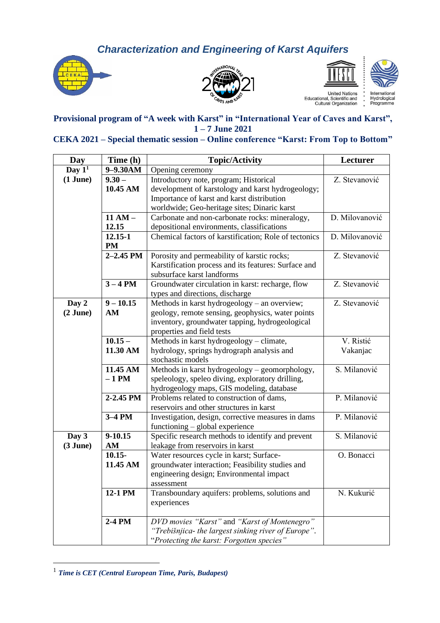*Characterization and Engineering of Karst Aquifers*









United Nations<br>Educational, Scientific and<br>Cultural Organization

memational<br>Hydrological<br>Programme

## **Provisional program of "A week with Karst" in "International Year of Caves and Karst", 1 – 7 June 2021**

## **CEKA 2021 – Special thematic session – Online conference "Karst: From Top to Bottom"**

| Day           | Time (h)      | <b>Topic/Activity</b>                                 | Lecturer       |
|---------------|---------------|-------------------------------------------------------|----------------|
| Day $1^1$     | 9-9.30AM      | Opening ceremony                                      |                |
| $(1$ June $)$ | $9.30 -$      | Introductory note, program; Historical                | Z. Stevanović  |
|               | 10.45 AM      | development of karstology and karst hydrogeology;     |                |
|               |               | Importance of karst and karst distribution            |                |
|               |               | worldwide; Geo-heritage sites; Dinaric karst          |                |
|               | $11 AM -$     | Carbonate and non-carbonate rocks: mineralogy,        | D. Milovanović |
|               | 12.15         | depositional environments, classifications            |                |
|               | 12.15-1       | Chemical factors of karstification; Role of tectonics | D. Milovanović |
|               | <b>PM</b>     |                                                       |                |
|               | $2 - 2.45$ PM | Porosity and permeability of karstic rocks;           | Z. Stevanović  |
|               |               | Karstification process and its features: Surface and  |                |
|               |               | subsurface karst landforms                            |                |
|               | $3 - 4 PM$    | Groundwater circulation in karst: recharge, flow      | Z. Stevanović  |
|               |               | types and directions, discharge                       |                |
| Day 2         | $9 - 10.15$   | Methods in karst hydrogeology – an overview;          | Z. Stevanović  |
| $(2$ June)    | AM            | geology, remote sensing, geophysics, water points     |                |
|               |               | inventory, groundwater tapping, hydrogeological       |                |
|               |               | properties and field tests                            |                |
|               | $10.15 -$     | Methods in karst hydrogeology - climate,              | V. Ristić      |
|               | 11.30 AM      | hydrology, springs hydrograph analysis and            | Vakanjac       |
|               |               | stochastic models                                     |                |
|               | 11.45 AM      | Methods in karst hydrogeology - geomorphology,        | S. Milanović   |
|               | $-1$ PM       | speleology, speleo diving, exploratory drilling,      |                |
|               |               | hydrogeology maps, GIS modeling, database             |                |
|               | 2-2.45 PM     | Problems related to construction of dams,             | P. Milanović   |
|               |               | reservoirs and other structures in karst              |                |
|               | 3-4 PM        | Investigation, design, corrective measures in dams    | P. Milanović   |
|               |               | functioning – global experience                       |                |
| Day 3         | 9-10.15       | Specific research methods to identify and prevent     | S. Milanović   |
| $(3$ June)    | AM            | leakage from reservoirs in karst                      |                |
|               | $10.15 -$     | Water resources cycle in karst; Surface-              | O. Bonacci     |
|               | 11.45 AM      | groundwater interaction; Feasibility studies and      |                |
|               |               | engineering design; Environmental impact              |                |
|               |               | assessment                                            |                |
|               | 12-1 PM       | Transboundary aquifers: problems, solutions and       | N. Kukurić     |
|               |               | experiences                                           |                |
|               |               |                                                       |                |
|               | 2-4 PM        | DVD movies "Karst" and "Karst of Montenegro"          |                |
|               |               | "Trebišnjica- the largest sinking river of Europe".   |                |
|               |               | "Protecting the karst: Forgotten species"             |                |

<sup>1</sup> *Time is CET (Central European Time, Paris, Budapest)*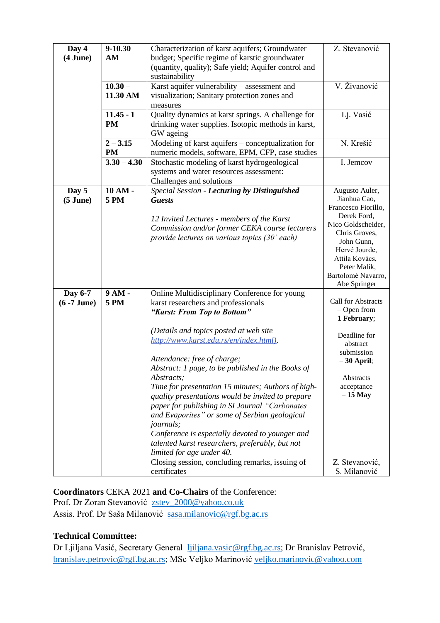| Day 4<br>$(4$ June $)$      | 9-10.30<br>AM            | Characterization of karst aquifers; Groundwater<br>budget; Specific regime of karstic groundwater<br>(quantity, quality); Safe yield; Aquifer control and<br>sustainability                                                                                                                                                                                                                                                                                                                                                                                                                                  | Z. Stevanović                                                                                                                                                                                                      |
|-----------------------------|--------------------------|--------------------------------------------------------------------------------------------------------------------------------------------------------------------------------------------------------------------------------------------------------------------------------------------------------------------------------------------------------------------------------------------------------------------------------------------------------------------------------------------------------------------------------------------------------------------------------------------------------------|--------------------------------------------------------------------------------------------------------------------------------------------------------------------------------------------------------------------|
|                             | $10.30 -$<br>11.30 AM    | Karst aquifer vulnerability - assessment and<br>visualization; Sanitary protection zones and<br>measures                                                                                                                                                                                                                                                                                                                                                                                                                                                                                                     | V. Živanović                                                                                                                                                                                                       |
|                             | $11.45 - 1$<br><b>PM</b> | Quality dynamics at karst springs. A challenge for<br>drinking water supplies. Isotopic methods in karst,<br>GW ageing                                                                                                                                                                                                                                                                                                                                                                                                                                                                                       | Lj. Vasić                                                                                                                                                                                                          |
|                             | $2 - 3.15$<br><b>PM</b>  | Modeling of karst aquifers - conceptualization for<br>numeric models, software, EPM, CFP, case studies                                                                                                                                                                                                                                                                                                                                                                                                                                                                                                       | N. Krešić                                                                                                                                                                                                          |
|                             | $3.30 - 4.30$            | Stochastic modeling of karst hydrogeological<br>systems and water resources assessment:<br>Challenges and solutions                                                                                                                                                                                                                                                                                                                                                                                                                                                                                          | I. Jemcov                                                                                                                                                                                                          |
| Day 5<br>$(5 \text{ June})$ | 10 AM -<br><b>5 PM</b>   | Special Session - Lecturing by Distinguished<br><b>Guests</b><br>12 Invited Lectures - members of the Karst<br>Commission and/or former CEKA course lecturers<br>provide lectures on various topics (30' each)                                                                                                                                                                                                                                                                                                                                                                                               | Augusto Auler,<br>Jianhua Cao,<br>Francesco Fiorillo,<br>Derek Ford,<br>Nico Goldscheider,<br>Chris Groves,<br>John Gunn,<br>Hervé Jourde,<br>Attila Kovács,<br>Peter Malik,<br>Bartolomé Navarro,<br>Abe Springer |
| Day 6-7<br>$(6 - 7$ June)   | 9 AM -<br><b>5 PM</b>    | Online Multidisciplinary Conference for young<br>karst researchers and professionals<br>"Karst: From Top to Bottom"                                                                                                                                                                                                                                                                                                                                                                                                                                                                                          | <b>Call for Abstracts</b><br>- Open from<br>1 February;                                                                                                                                                            |
|                             |                          | (Details and topics posted at web site<br>http://www.karst.edu.rs/en/index.html).<br>Attendance: free of charge;<br>Abstract: 1 page, to be published in the Books of<br>Abstracts;<br>Time for presentation 15 minutes; Authors of high-<br>quality presentations would be invited to prepare<br>paper for publishing in SI Journal "Carbonates"<br>and Evaporites" or some of Serbian geological<br><i>journals;</i><br>Conference is especially devoted to younger and<br>talented karst researchers, preferably, but not<br>limited for age under 40.<br>Closing session, concluding remarks, issuing of | Deadline for<br>abstract<br>submission<br>$-30$ April;<br>Abstracts<br>acceptance<br>$-15$ May<br>Z. Stevanović,                                                                                                   |
|                             |                          | certificates                                                                                                                                                                                                                                                                                                                                                                                                                                                                                                                                                                                                 | S. Milanović                                                                                                                                                                                                       |

## **Coordinators** CEKA 2021 **and Co-Chairs** of the Conference:

Prof. Dr Zoran Stevanović [zstev\\_2000@yahoo.co.uk](mailto:zstev_2000@yahoo.co.uk) Assis. Prof. Dr Saša Milanović [sasa.milanovic@rgf.bg.ac.rs](mailto:sasa.milanovic@rgf.bg.ac.rs)

## **Technical Committee:**

Dr Ljiljana Vasić, Secretary General [ljiljana.vasic@rgf.bg.ac.rs;](mailto:ljiljana.vasic@rgf.bg.ac.rs) Dr Branislav Petrović, [branislav.petrovic@rgf.bg.ac.rs;](mailto:branislav.petrovic@rgf.bg.ac.rs) MSc Veljko Marinović [veljko.marinovic@yahoo.com](mailto:veljko.marinovic@yahoo.com)